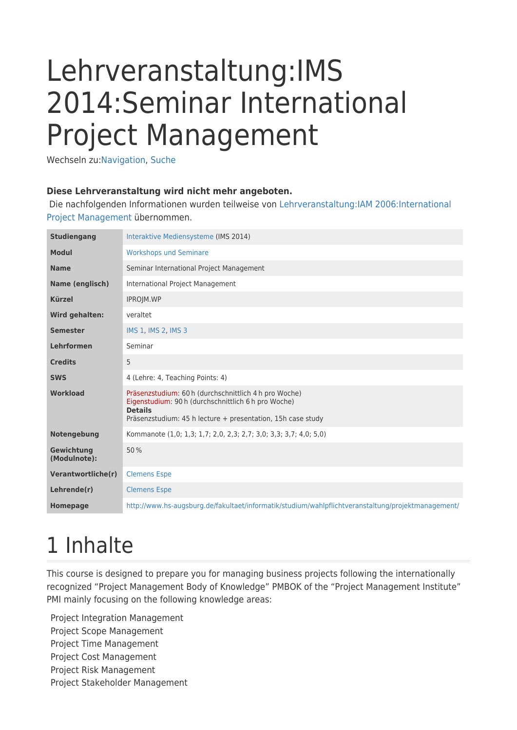# Lehrveranstaltung:IMS 2014:Seminar International Project Management

Wechseln zu:[Navigation,](#page--1-0) [Suche](#page--1-0)

#### **Diese Lehrveranstaltung wird nicht mehr angeboten.**

 Die nachfolgenden Informationen wurden teilweise von [Lehrveranstaltung:IAM 2006:International](http://glossar.hs-augsburg.de/Lehrveranstaltung:IAM_2006:International_Project_Management) [Project Management](http://glossar.hs-augsburg.de/Lehrveranstaltung:IAM_2006:International_Project_Management) übernommen.

| <b>Studiengang</b>         | Interaktive Mediensysteme (IMS 2014)                                                                                                                                                          |
|----------------------------|-----------------------------------------------------------------------------------------------------------------------------------------------------------------------------------------------|
| <b>Modul</b>               | <b>Workshops und Seminare</b>                                                                                                                                                                 |
| <b>Name</b>                | Seminar International Project Management                                                                                                                                                      |
| Name (englisch)            | International Project Management                                                                                                                                                              |
| <b>Kürzel</b>              | IPROJM.WP                                                                                                                                                                                     |
| Wird gehalten:             | veraltet                                                                                                                                                                                      |
| <b>Semester</b>            | IMS 1, IMS 2, IMS 3                                                                                                                                                                           |
| Lehrformen                 | Seminar                                                                                                                                                                                       |
| <b>Credits</b>             | 5                                                                                                                                                                                             |
| <b>SWS</b>                 | 4 (Lehre: 4, Teaching Points: 4)                                                                                                                                                              |
| <b>Workload</b>            | Präsenzstudium: 60 h (durchschnittlich 4 h pro Woche)<br>Eigenstudium: 90 h (durchschnittlich 6 h pro Woche)<br><b>Details</b><br>Präsenzstudium: 45 h lecture + presentation, 15h case study |
| Notengebung                | Kommanote (1,0; 1,3; 1,7; 2,0, 2,3; 2,7; 3,0; 3,3; 3,7; 4,0; 5,0)                                                                                                                             |
| Gewichtung<br>(Modulnote): | 50%                                                                                                                                                                                           |
| Verantwortliche(r)         | <b>Clemens Espe</b>                                                                                                                                                                           |
| Lehrende(r)                | <b>Clemens Espe</b>                                                                                                                                                                           |
| <b>Homepage</b>            | http://www.hs-augsburg.de/fakultaet/informatik/studium/wahlpflichtveranstaltung/projektmanagement/                                                                                            |

### 1 Inhalte

This course is designed to prepare you for managing business projects following the internationally recognized "Project Management Body of Knowledge" PMBOK of the "Project Management Institute" PMI mainly focusing on the following knowledge areas:

Project Integration Management Project Scope Management Project Time Management Project Cost Management Project Risk Management Project Stakeholder Management